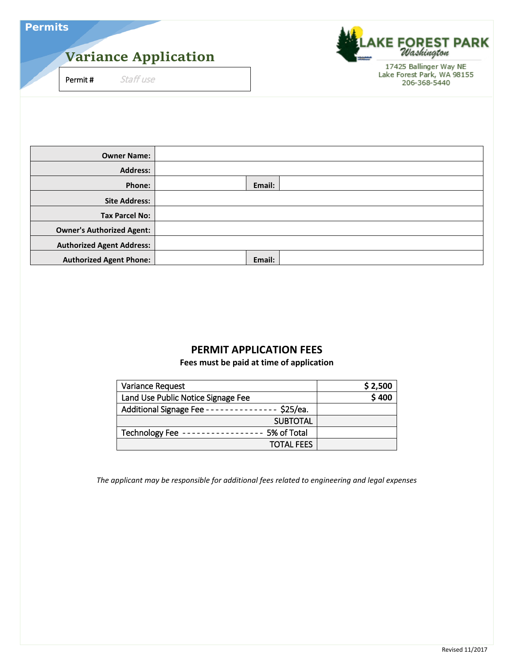| <b>Permits</b> |  |  |  |
|----------------|--|--|--|
|                |  |  |  |

# **Variance Application**

Permit # Staff use

E FOREST PARK<br>*Washington* 17425 Ballinger Way NE Lake Forest Park, WA 98155 206-368-5440

| <b>Owner Name:</b>               |        |  |
|----------------------------------|--------|--|
| <b>Address:</b>                  |        |  |
| Phone:                           | Email: |  |
| <b>Site Address:</b>             |        |  |
| <b>Tax Parcel No:</b>            |        |  |
| <b>Owner's Authorized Agent:</b> |        |  |
| <b>Authorized Agent Address:</b> |        |  |
| <b>Authorized Agent Phone:</b>   | Email: |  |

# **PERMIT APPLICATION FEES**

**Fees must be paid at time of application**

| Variance Request                     | \$2,500 |
|--------------------------------------|---------|
| Land Use Public Notice Signage Fee   | \$400   |
| \$25/ea.<br>Additional Signage Fee - |         |
| <b>SUBTOTAL</b>                      |         |
| 5% of Total<br>Technology Fee        |         |
| <b>TOTAL FEES</b>                    |         |

*The applicant may be responsible for additional fees related to engineering and legal expenses*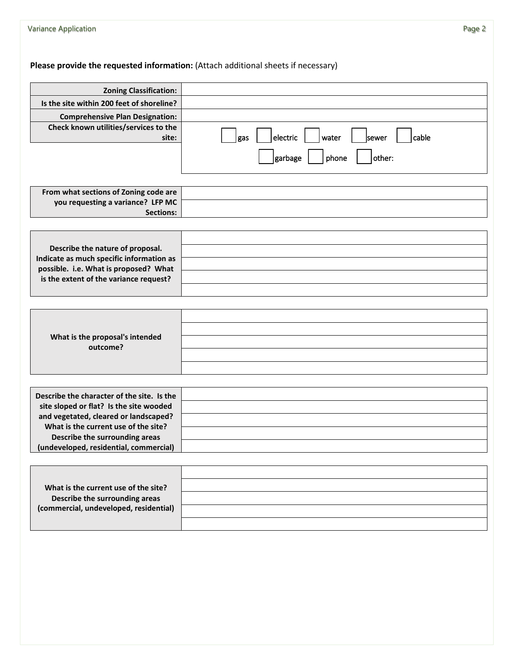**Please provide the requested information:** (Attach additional sheets if necessary)

| <b>Zoning Classification:</b>                                                                                                                                                                                                                      |                                            |
|----------------------------------------------------------------------------------------------------------------------------------------------------------------------------------------------------------------------------------------------------|--------------------------------------------|
| Is the site within 200 feet of shoreline?                                                                                                                                                                                                          |                                            |
| <b>Comprehensive Plan Designation:</b>                                                                                                                                                                                                             |                                            |
| Check known utilities/services to the<br>site:                                                                                                                                                                                                     | electric<br>water<br>cable<br>sewer<br>gas |
|                                                                                                                                                                                                                                                    | phone<br>garbage<br>other:                 |
| From what sections of Zoning code are                                                                                                                                                                                                              |                                            |
| you requesting a variance? LFP MC<br><b>Sections:</b>                                                                                                                                                                                              |                                            |
|                                                                                                                                                                                                                                                    |                                            |
| Describe the nature of proposal.<br>Indicate as much specific information as<br>possible. i.e. What is proposed? What<br>is the extent of the variance request?                                                                                    |                                            |
|                                                                                                                                                                                                                                                    |                                            |
|                                                                                                                                                                                                                                                    |                                            |
| What is the proposal's intended<br>outcome?                                                                                                                                                                                                        |                                            |
|                                                                                                                                                                                                                                                    |                                            |
| Describe the character of the site. Is the<br>site sloped or flat? Is the site wooded<br>and vegetated, cleared or landscaped?<br>What is the current use of the site?<br>Describe the surrounding areas<br>(undeveloped, residential, commercial) |                                            |
|                                                                                                                                                                                                                                                    |                                            |
| What is the current use of the site?                                                                                                                                                                                                               |                                            |
| Describe the surrounding areas                                                                                                                                                                                                                     |                                            |
| (commercial, undeveloped, residential)                                                                                                                                                                                                             |                                            |
|                                                                                                                                                                                                                                                    |                                            |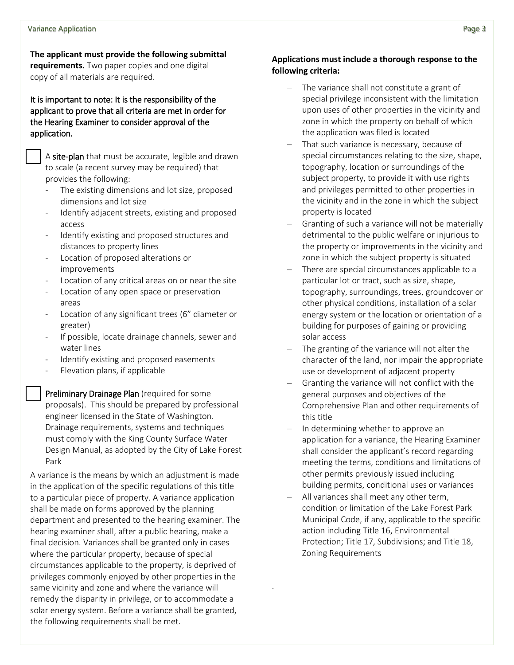**The applicant must provide the following submittal requirements.** Two paper copies and one digital copy of all materials are required.

It is important to note: It is the responsibility of the applicant to prove that all criteria are met in order for the Hearing Examiner to consider approval of the application.

 A site-plan that must be accurate, legible and drawn to scale (a recent survey may be required) that provides the following:

- The existing dimensions and lot size, proposed dimensions and lot size
- Identify adjacent streets, existing and proposed access
- Identify existing and proposed structures and distances to property lines
- Location of proposed alterations or improvements
- Location of any critical areas on or near the site
- Location of any open space or preservation areas
- Location of any significant trees (6" diameter or greater)
- If possible, locate drainage channels, sewer and water lines
- Identify existing and proposed easements
- Elevation plans, if applicable

 Preliminary Drainage Plan (required for some proposals). This should be prepared by professional engineer licensed in the State of Washington. Drainage requirements, systems and techniques must comply with the King County Surface Water Design Manual, as adopted by the City of Lake Forest Park

A variance is the means by which an adjustment is made in the application of the specific regulations of this title to a particular piece of property. A variance application shall be made on forms approved by the planning department and presented to the hearing examiner. The hearing examiner shall, after a public hearing, make a final decision. Variances shall be granted only in cases where the particular property, because of special circumstances applicable to the property, is deprived of privileges commonly enjoyed by other properties in the same vicinity and zone and where the variance will remedy the disparity in privilege, or to accommodate a solar energy system. Before a variance shall be granted, the following requirements shall be met.

### **Applications must include a thorough response to the following criteria:**

- The variance shall not constitute a grant of special privilege inconsistent with the limitation upon uses of other properties in the vicinity and zone in which the property on behalf of which the application was filed is located
- That such variance is necessary, because of special circumstances relating to the size, shape, topography, location or surroundings of the subject property, to provide it with use rights and privileges permitted to other properties in the vicinity and in the zone in which the subject property is located
- − Granting of such a variance will not be materially detrimental to the public welfare or injurious to the property or improvements in the vicinity and zone in which the subject property is situated
- There are special circumstances applicable to a particular lot or tract, such as size, shape, topography, surroundings, trees, groundcover or other physical conditions, installation of a solar energy system or the location or orientation of a building for purposes of gaining or providing solar access
- The granting of the variance will not alter the character of the land, nor impair the appropriate use or development of adjacent property
- Granting the variance will not conflict with the general purposes and objectives of the Comprehensive Plan and other requirements of this title
- In determining whether to approve an application for a variance, the Hearing Examiner shall consider the applicant's record regarding meeting the terms, conditions and limitations of other permits previously issued including building permits, conditional uses or variances
- All variances shall meet any other term, condition or limitation of the Lake Forest Park Municipal Code, if any, applicable to the specific action including Title 16, Environmental Protection; Title 17, Subdivisions; and Title 18, Zoning Requirements

.